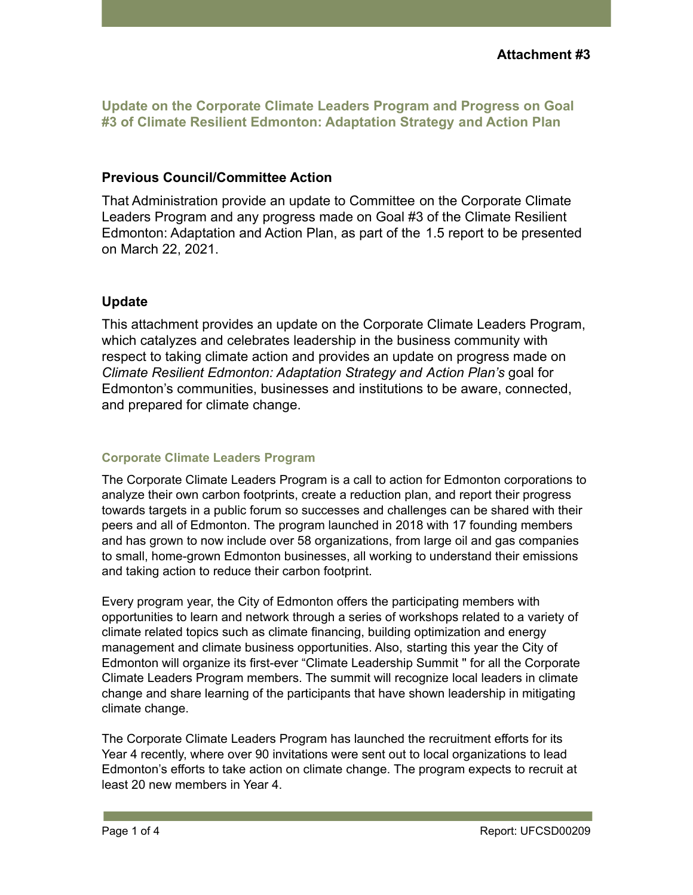**Update on the Corporate Climate Leaders Program and Progress on Goal #3 of Climate Resilient Edmonton: Adaptation Strategy and Action Plan**

## **Previous Council/Committee Action**

That Administration provide an update to Committee on the Corporate Climate Leaders Program and any progress made on Goal #3 of the Climate Resilient Edmonton: Adaptation and Action Plan, as part of the 1.5 report to be presented on March 22, 2021.

## **Update**

This attachment provides an update on the Corporate Climate Leaders Program, which catalyzes and celebrates leadership in the business community with respect to taking climate action and provides an update on progress made on *Climate Resilient Edmonton: Adaptation Strategy and Action Plan's* goal for Edmonton's communities, businesses and institutions to be aware, connected, and prepared for climate change.

## **Corporate Climate Leaders Program**

The Corporate Climate Leaders Program is a call to action for Edmonton corporations to analyze their own carbon footprints, create a reduction plan, and report their progress towards targets in a public forum so successes and challenges can be shared with their peers and all of Edmonton. The program launched in 2018 with 17 founding members and has grown to now include over 58 organizations, from large oil and gas companies to small, home-grown Edmonton businesses, all working to understand their emissions and taking action to reduce their carbon footprint.

Every program year, the City of Edmonton offers the participating members with opportunities to learn and network through a series of workshops related to a variety of climate related topics such as climate financing, building optimization and energy management and climate business opportunities. Also, starting this year the City of Edmonton will organize its first-ever "Climate Leadership Summit '' for all the Corporate Climate Leaders Program members. The summit will recognize local leaders in climate change and share learning of the participants that have shown leadership in mitigating climate change.

The Corporate Climate Leaders Program has launched the recruitment efforts for its Year 4 recently, where over 90 invitations were sent out to local organizations to lead Edmonton's efforts to take action on climate change. The program expects to recruit at least 20 new members in Year 4.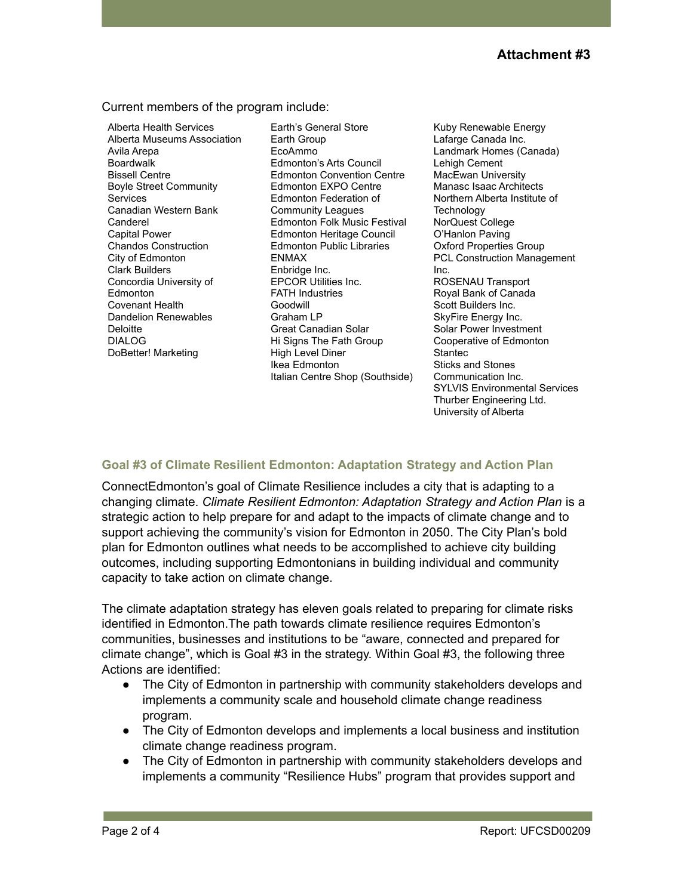Current members of the program include:

Alberta Health Services Alberta Museums Association Avila Arepa Boardwalk Bissell Centre Boyle Street Community Services Canadian Western Bank Canderel Capital Power Chandos Construction City of Edmonton Clark Builders Concordia University of Edmonton Covenant Health Dandelion Renewables Deloitte DIALOG DoBetter! Marketing

Earth's General Store Earth Group EcoAmmo Edmonton's Arts Council Edmonton Convention Centre Edmonton EXPO Centre Edmonton Federation of Community Leagues Edmonton Folk Music Festival Edmonton Heritage Council Edmonton Public Libraries ENMAX Enbridge Inc. EPCOR Utilities Inc. FATH Industries Goodwill Graham LP Great Canadian Solar Hi Signs The Fath Group High Level Diner Ikea Edmonton Italian Centre Shop (Southside)

Kuby Renewable Energy Lafarge Canada Inc. Landmark Homes (Canada) Lehigh Cement MacEwan University Manasc Isaac Architects Northern Alberta Institute of **Technology** NorQuest College O'Hanlon Paving Oxford Properties Group PCL Construction Management Inc. ROSENAU Transport Royal Bank of Canada Scott Builders Inc. SkyFire Energy Inc. Solar Power Investment Cooperative of Edmonton **Stantec** Sticks and Stones Communication Inc. SYLVIS Environmental Services Thurber Engineering Ltd. University of Alberta

## **Goal #3 of Climate Resilient Edmonton: Adaptation Strategy and Action Plan**

ConnectEdmonton's goal of Climate Resilience includes a city that is adapting to a changing climate. *Climate Resilient Edmonton: Adaptation Strategy and Action Plan* is a strategic action to help prepare for and adapt to the impacts of climate change and to support achieving the community's vision for Edmonton in 2050. The City Plan's bold plan for Edmonton outlines what needs to be accomplished to achieve city building outcomes, including supporting Edmontonians in building individual and community capacity to take action on climate change.

The climate adaptation strategy has eleven goals related to preparing for climate risks identified in Edmonton.The path towards climate resilience requires Edmonton's communities, businesses and institutions to be "aware, connected and prepared for climate change", which is Goal #3 in the strategy. Within Goal #3, the following three Actions are identified:

- The City of Edmonton in partnership with community stakeholders develops and implements a community scale and household climate change readiness program.
- The City of Edmonton develops and implements a local business and institution climate change readiness program.
- The City of Edmonton in partnership with community stakeholders develops and implements a community "Resilience Hubs" program that provides support and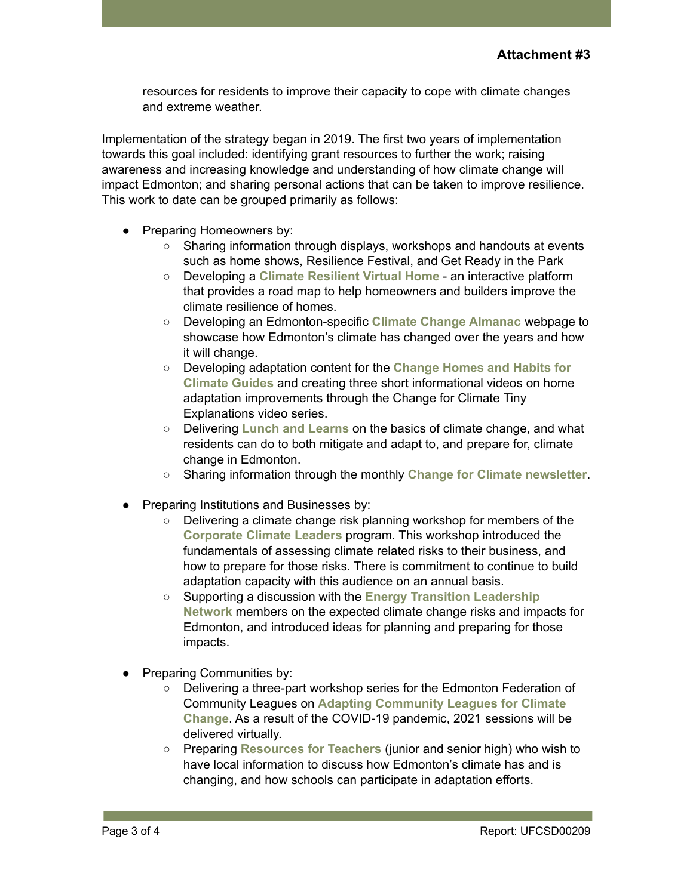resources for residents to improve their capacity to cope with climate changes and extreme weather.

Implementation of the strategy began in 2019. The first two years of implementation towards this goal included: identifying grant resources to further the work; raising awareness and increasing knowledge and understanding of how climate change will impact Edmonton; and sharing personal actions that can be taken to improve resilience. This work to date can be grouped primarily as follows:

- Preparing Homeowners by:
	- Sharing information through displays, workshops and handouts at events such as home shows, Resilience Festival, and Get Ready in the Park
	- Developing a **Climate Resilient Virtual Home** an interactive platform that provides a road map to help homeowners and builders improve the climate resilience of homes.
	- Developing an Edmonton-specific **Climate Change Almanac** webpage to showcase how Edmonton's climate has changed over the years and how it will change.
	- Developing adaptation content for the **Change Homes and Habits for Climate Guides** and creating three short informational videos on home adaptation improvements through the Change for Climate Tiny Explanations video series.
	- Delivering **Lunch and Learns** on the basics of climate change, and what residents can do to both mitigate and adapt to, and prepare for, climate change in Edmonton.
	- Sharing information through the monthly **Change for Climate newsletter**.
- **Preparing Institutions and Businesses by:** 
	- Delivering a climate change risk planning workshop for members of the **Corporate Climate Leaders** program. This workshop introduced the fundamentals of assessing climate related risks to their business, and how to prepare for those risks. There is commitment to continue to build adaptation capacity with this audience on an annual basis.
	- Supporting a discussion with the **Energy Transition Leadership Network** members on the expected climate change risks and impacts for Edmonton, and introduced ideas for planning and preparing for those impacts.
- **Preparing Communities by:** 
	- Delivering a three-part workshop series for the Edmonton Federation of Community Leagues on **Adapting Community Leagues for Climate Change**. As a result of the COVID-19 pandemic, 2021 sessions will be delivered virtually.
	- Preparing **Resources for Teachers** (junior and senior high) who wish to have local information to discuss how Edmonton's climate has and is changing, and how schools can participate in adaptation efforts.